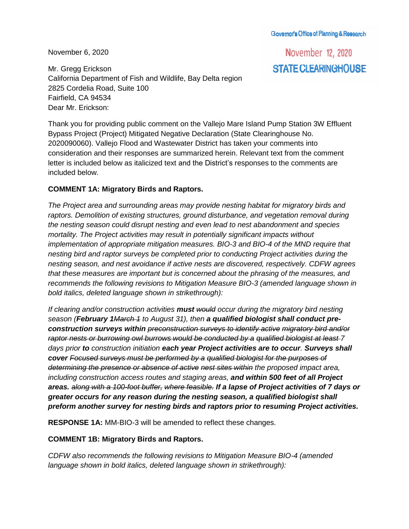Govemor's Office of Planning & Research

November 6, 2020

Mr. Gregg Erickson California Department of Fish and Wildlife, Bay Delta region 2825 Cordelia Road, Suite 100 Fairfield, CA 94534 Dear Mr. Erickson:

November 12, 2020 STATE CLEARINGHOUSE

Thank you for providing public comment on the Vallejo Mare Island Pump Station 3W Effluent Bypass Project (Project) Mitigated Negative Declaration (State Clearinghouse No. 2020090060). Vallejo Flood and Wastewater District has taken your comments into consideration and their responses are summarized herein. Relevant text from the comment letter is included below as italicized text and the District's responses to the comments are included below.

## **COMMENT 1A: Migratory Birds and Raptors.**

*The Project area and surrounding areas may provide nesting habitat for migratory birds and raptors. Demolition of existing structures, ground disturbance, and vegetation removal during the nesting season could disrupt nesting and even lead to nest abandonment and species mortality. The Project activities may result in potentially significant impacts without implementation of appropriate mitigation measures. BIO-3 and BIO-4 of the MND require that nesting bird and raptor surveys be completed prior to conducting Project activities during the nesting season, and nest avoidance if active nests are discovered, respectively. CDFW agrees that these measures are important but is concerned about the phrasing of the measures, and recommends the following revisions to Mitigation Measure BIO-3 (amended language shown in bold italics, deleted language shown in strikethrough):*

*If clearing and/or construction activities must would occur during the migratory bird nesting season (February 1March 1 to August 31), then a qualified biologist shall conduct preconstruction surveys within preconstruction surveys to identify active migratory bird and/or raptor nests or burrowing owl burrows would be conducted by a qualified biologist at least 7 days prior to construction initiation each year Project activities are to occur. Surveys shall cover Focused surveys must be performed by a qualified biologist for the purposes of determining the presence or absence of active nest sites within the proposed impact area, including construction access routes and staging areas, and within 500 feet of all Project areas. along with a 100-foot buffer, where feasible. If a lapse of Project activities of 7 days or greater occurs for any reason during the nesting season, a qualified biologist shall preform another survey for nesting birds and raptors prior to resuming Project activities.*

**RESPONSE 1A:** MM-BIO-3 will be amended to reflect these changes.

## **COMMENT 1B: Migratory Birds and Raptors.**

*CDFW also recommends the following revisions to Mitigation Measure BIO-4 (amended language shown in bold italics, deleted language shown in strikethrough):*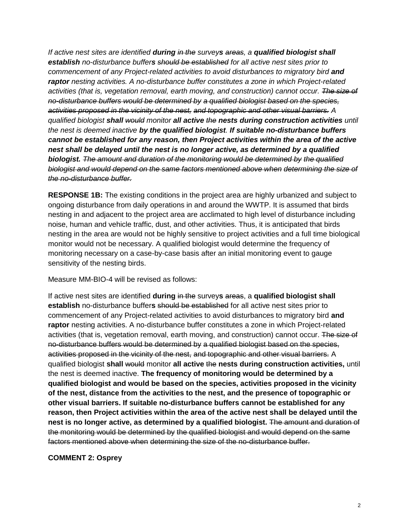*If active nest sites are identified during in the surveys areas, a qualified biologist shall establish no-disturbance buffers should be established for all active nest sites prior to commencement of any Project-related activities to avoid disturbances to migratory bird and raptor nesting activities. A no-disturbance buffer constitutes a zone in which Project-related activities (that is, vegetation removal, earth moving, and construction) cannot occur. The size of no-disturbance buffers would be determined by a qualified biologist based on the species, activities proposed in the vicinity of the nest, and topographic and other visual barriers. A qualified biologist shall would monitor all active the nests during construction activities until the nest is deemed inactive by the qualified biologist. If suitable no-disturbance buffers cannot be established for any reason, then Project activities within the area of the active nest shall be delayed until the nest is no longer active, as determined by a qualified biologist. The amount and duration of the monitoring would be determined by the qualified biologist and would depend on the same factors mentioned above when determining the size of the no-disturbance buffer.* 

**RESPONSE 1B:** The existing conditions in the project area are highly urbanized and subject to ongoing disturbance from daily operations in and around the WWTP. It is assumed that birds nesting in and adjacent to the project area are acclimated to high level of disturbance including noise, human and vehicle traffic, dust, and other activities. Thus, it is anticipated that birds nesting in the area are would not be highly sensitive to project activities and a full time biological monitor would not be necessary. A qualified biologist would determine the frequency of monitoring necessary on a case-by-case basis after an initial monitoring event to gauge sensitivity of the nesting birds.

Measure MM-BIO-4 will be revised as follows:

If active nest sites are identified **during** in the survey**s** areas, a **qualified biologist shall establish** no-disturbance buffer**s** should be established for all active nest sites prior to commencement of any Project-related activities to avoid disturbances to migratory bird **and raptor** nesting activities. A no-disturbance buffer constitutes a zone in which Project-related activities (that is, vegetation removal, earth moving, and construction) cannot occur. The size of no-disturbance buffers would be determined by a qualified biologist based on the species, activities proposed in the vicinity of the nest, and topographic and other visual barriers. A qualified biologist **shall** would monitor **all active** the **nests during construction activities,** until the nest is deemed inactive. **The frequency of monitoring would be determined by a qualified biologist and would be based on the species, activities proposed in the vicinity of the nest, distance from the activities to the nest, and the presence of topographic or other visual barriers. If suitable no-disturbance buffers cannot be established for any reason, then Project activities within the area of the active nest shall be delayed until the nest is no longer active, as determined by a qualified biologist.** The amount and duration of the monitoring would be determined by the qualified biologist and would depend on the same factors mentioned above when determining the size of the no-disturbance buffer.

## **COMMENT 2: Osprey**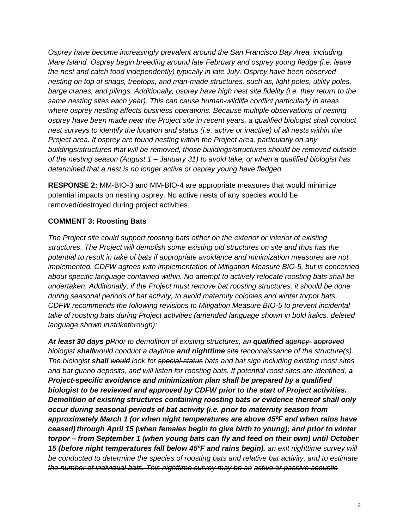*Osprey have become increasingly prevalent around the San Francisco Bay Area, including Mare Island. Osprey begin breeding around late February and osprey young fledge (i.e. leave the nest and catch food independently) typically in late July. Osprey have been observed nesting on top of snags, treetops, and man-made structures, such as, light poles, utility poles, barge cranes, and pilings. Additionally, osprey have high nest site fidelity (i.e. they return to the same nesting sites each year). This can cause human-wildlife conflict particularly in areas where osprey nesting affects business operations. Because multiple observations of nesting osprey have been made near the Project site in recent years, a qualified biologist shall conduct nest surveys to identify the location and status (i.e. active or inactive) of all nests within the Project area. If osprey are found nesting within the Project area, particularly on any buildings/structures that will be removed, those buildings/structures should be removed outside of the nesting season (August 1 – January 31) to avoid take, or when a qualified biologist has determined that a nest is no longer active or osprey young have fledged.*

**RESPONSE 2:** MM-BIO-3 and MM-BIO-4 are appropriate measures that would minimize potential impacts on nesting osprey. No active nests of any species would be removed/destroyed during project activities.

## **COMMENT 3: Roosting Bats**

*The Project site could support roosting bats either on the exterior or interior of existing structures. The Project will demolish some existing old structures on site and thus has the potential to result in take of bats if appropriate avoidance and minimization measures are not implemented. CDFW agrees with implementation of Mitigation Measure BIO-5, but is concerned about specific language contained within. No attempt to actively relocate roosting bats shall be undertaken. Additionally, if the Project must remove bat roosting structures, it should be done during seasonal periods of bat activity, to avoid maternity colonies and winter torpor bats. CDFW recommends the following revisions to Mitigation Measure BIO-5 to prevent incidental take of roosting bats during Project activities (amended language shown in bold italics, deleted language shown instrikethrough):*

*At least 30 days pPrior to demolition of existing structures, an qualified agency- approved biologist shallwould conduct a daytime and nighttime site reconnaissance of the structure(s). The biologist shall would look for special-status bats and bat sign including existing roost sites*  and bat guano deposits, and will listen for roosting bats. If potential roost sites are identified, a *Project-specific avoidance and minimization plan shall be prepared by a qualified biologist to be reviewed and approved by CDFW prior to the start of Project activities. Demolition of existing structures containing roosting bats or evidence thereof shall only occur during seasonal periods of bat activity (i.e. prior to maternity season from approximately March 1 (or when night temperatures are above 45ºF and when rains have ceased) through April 15 (when females begin to give birth to young); and prior to winter torpor – from September 1 (when young bats can fly and feed on their own) until October 15 (before night temperatures fall below 45ºF and rains begin). an exit nighttime survey will be conducted to determine the species of roosting bats and relative bat activity, and to estimate the number of individual bats. This nighttime survey may be an active or passive acoustic*